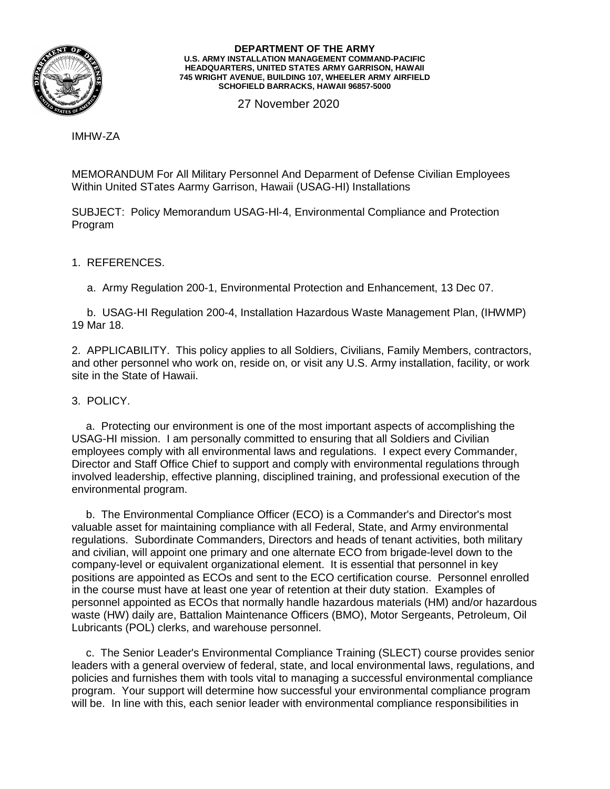

## **DEPARTMENT OF THE ARMY U.S. ARMY INSTALLATION MANAGEMENT COMMAND-PACIFIC HEADQUARTERS, UNITED STATES ARMY GARRISON, HAWAII 745 WRIGHT AVENUE, BUILDING 107, WHEELER ARMY AIRFIELD SCHOFIELD BARRACKS, HAWAII 96857-5000**

27 November 2020

IMHW-ZA

MEMORANDUM For All Military Personnel And Deparment of Defense Civilian Employees Within United STates Aarmy Garrison, Hawaii (USAG-HI) Installations

SUBJECT: Policy Memorandum USAG-Hl-4, Environmental Compliance and Protection Program

1. REFERENCES.

a. Army Regulation 200-1, Environmental Protection and Enhancement, 13 Dec 07.

 b. USAG-HI Regulation 200-4, Installation Hazardous Waste Management Plan, (IHWMP) 19 Mar 18.

2. APPLICABILITY. This policy applies to all Soldiers, Civilians, Family Members, contractors, and other personnel who work on, reside on, or visit any U.S. Army installation, facility, or work site in the State of Hawaii.

## 3. POLICY.

a. Protecting our environment is one of the most important aspects of accomplishing the USAG-HI mission. I am personally committed to ensuring that all Soldiers and Civilian employees comply with all environmental laws and regulations. I expect every Commander, Director and Staff Office Chief to support and comply with environmental regulations through involved leadership, effective planning, disciplined training, and professional execution of the environmental program.

b. The Environmental Compliance Officer (ECO) is a Commander's and Director's most valuable asset for maintaining compliance with all Federal, State, and Army environmental regulations. Subordinate Commanders, Directors and heads of tenant activities, both military and civilian, will appoint one primary and one alternate ECO from brigade-level down to the company-level or equivalent organizational element. It is essential that personnel in key positions are appointed as ECOs and sent to the ECO certification course. Personnel enrolled in the course must have at least one year of retention at their duty station. Examples of personnel appointed as ECOs that normally handle hazardous materials (HM) and/or hazardous waste (HW) daily are, Battalion Maintenance Officers (BMO), Motor Sergeants, Petroleum, Oil Lubricants (POL) clerks, and warehouse personnel.

c. The Senior Leader's Environmental Compliance Training (SLECT) course provides senior leaders with a general overview of federal, state, and local environmental laws, regulations, and policies and furnishes them with tools vital to managing a successful environmental compliance program. Your support will determine how successful your environmental compliance program will be. In line with this, each senior leader with environmental compliance responsibilities in